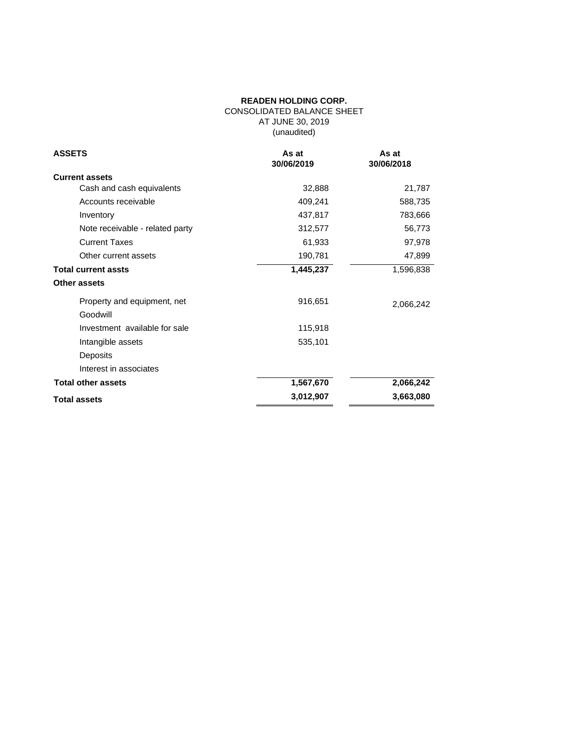# **READEN HOLDING CORP.** CONSOLIDATED BALANCE SHEET AT JUNE 30, 2019 (unaudited)

| <b>ASSETS</b>                   | As at<br>30/06/2019 | As at<br>30/06/2018 |
|---------------------------------|---------------------|---------------------|
| <b>Current assets</b>           |                     |                     |
| Cash and cash equivalents       | 32,888              | 21,787              |
| Accounts receivable             | 409,241             | 588,735             |
| Inventory                       | 437,817             | 783,666             |
| Note receivable - related party | 312,577             | 56,773              |
| <b>Current Taxes</b>            | 61,933              | 97,978              |
| Other current assets            | 190,781             | 47,899              |
| <b>Total current assts</b>      | 1,445,237           | 1,596,838           |
| Other assets                    |                     |                     |
| Property and equipment, net     | 916,651             | 2,066,242           |
| Goodwill                        |                     |                     |
| Investment available for sale   | 115,918             |                     |
| Intangible assets               | 535,101             |                     |
| Deposits                        |                     |                     |
| Interest in associates          |                     |                     |
| <b>Total other assets</b>       | 1,567,670           | 2,066,242           |
| <b>Total assets</b>             | 3,012,907           | 3,663,080           |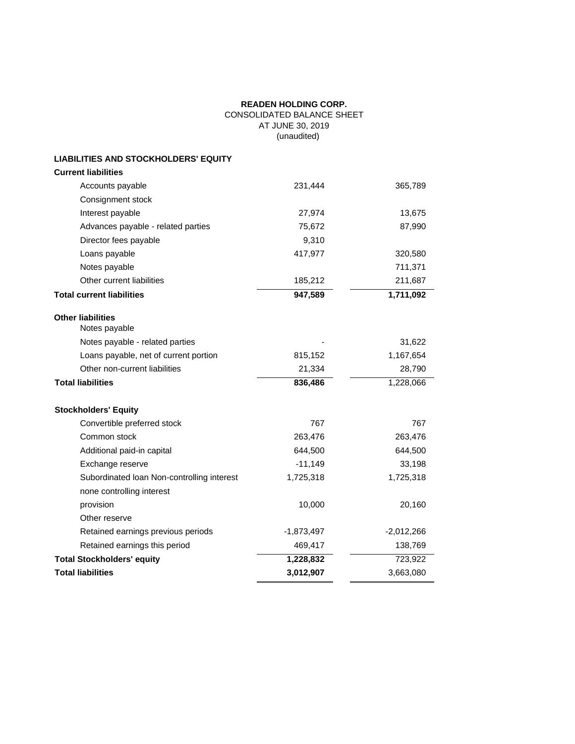# **READEN HOLDING CORP.** CONSOLIDATED BALANCE SHEET AT JUNE 30, 2019 (unaudited)

# **LIABILITIES AND STOCKHOLDERS' EQUITY**

| <b>Current liabilities</b>                 |              |              |
|--------------------------------------------|--------------|--------------|
| Accounts payable                           | 231,444      | 365,789      |
| Consignment stock                          |              |              |
| Interest payable                           | 27,974       | 13,675       |
| Advances payable - related parties         | 75,672       | 87,990       |
| Director fees payable                      | 9,310        |              |
| Loans payable                              | 417,977      | 320,580      |
| Notes payable                              |              | 711,371      |
| Other current liabilities                  | 185,212      | 211,687      |
| <b>Total current liabilities</b>           | 947,589      | 1,711,092    |
| <b>Other liabilities</b><br>Notes payable  |              |              |
| Notes payable - related parties            |              | 31,622       |
| Loans payable, net of current portion      | 815,152      | 1,167,654    |
| Other non-current liabilities              | 21,334       | 28,790       |
| <b>Total liabilities</b>                   | 836,486      | 1,228,066    |
| <b>Stockholders' Equity</b>                |              |              |
| Convertible preferred stock                | 767          | 767          |
| Common stock                               | 263,476      | 263,476      |
| Additional paid-in capital                 | 644,500      | 644,500      |
| Exchange reserve                           | $-11,149$    | 33,198       |
| Subordinated Ioan Non-controlling interest | 1,725,318    | 1,725,318    |
| none controlling interest                  |              |              |
| provision                                  | 10,000       | 20,160       |
| Other reserve                              |              |              |
| Retained earnings previous periods         | $-1,873,497$ | $-2,012,266$ |
| Retained earnings this period              | 469,417      | 138,769      |
| <b>Total Stockholders' equity</b>          |              |              |
|                                            | 1,228,832    | 723,922      |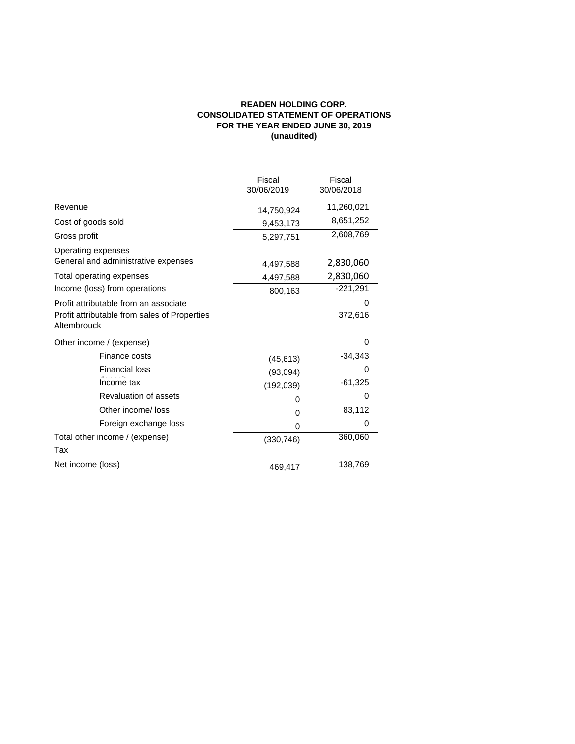# **READEN HOLDING CORP. CONSOLIDATED STATEMENT OF OPERATIONS FOR THE YEAR ENDED JUNE 30, 2019 (unaudited)**

|                                                                                                      | Fiscal<br>30/06/2019 | Fiscal<br>30/06/2018 |
|------------------------------------------------------------------------------------------------------|----------------------|----------------------|
| Revenue                                                                                              | 14,750,924           | 11,260,021           |
| Cost of goods sold                                                                                   | 9,453,173            | 8,651,252            |
| Gross profit                                                                                         | 5,297,751            | 2,608,769            |
| Operating expenses<br>General and administrative expenses                                            | 4,497,588            | 2,830,060            |
| Total operating expenses                                                                             | 4,497,588            | 2,830,060            |
| Income (loss) from operations                                                                        | 800,163              | $-221,291$           |
| Profit attributable from an associate<br>Profit attributable from sales of Properties<br>Altembrouck |                      | 0<br>372,616         |
| Other income / (expense)                                                                             |                      | 0                    |
| Finance costs                                                                                        | (45, 613)            | $-34,343$            |
| <b>Financial loss</b>                                                                                | (93,094)             | 0                    |
| Income tax                                                                                           | (192, 039)           | $-61,325$            |
| Revaluation of assets                                                                                | 0                    | $\Omega$             |
| Other income/ loss                                                                                   | 0                    | 83,112               |
| Foreign exchange loss                                                                                | 0                    | 0                    |
| Total other income / (expense)                                                                       | (330, 746)           | 360,060              |
| Tax                                                                                                  |                      |                      |
| Net income (loss)                                                                                    | 469,417              | 138,769              |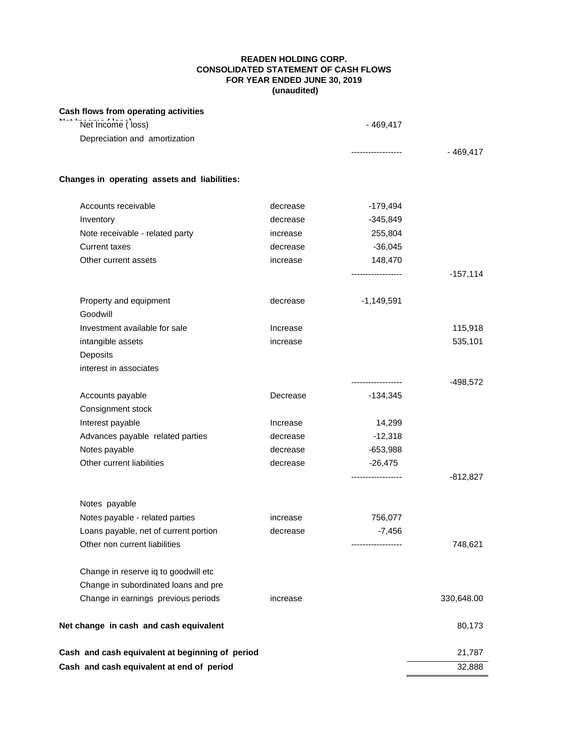# **READEN HOLDING CORP. CONSOLIDATED STATEMENT OF CASH FLOWS FOR YEAR ENDED JUNE 30, 2019 (unaudited)**

| Cash flows from operating activities            |          |                     |            |
|-------------------------------------------------|----------|---------------------|------------|
| Net Income (loss)                               |          | $-469,417$          |            |
| Depreciation and amortization                   |          |                     |            |
|                                                 |          | -----------------   | $-469,417$ |
| Changes in operating assets and liabilities:    |          |                     |            |
| Accounts receivable                             | decrease | $-179,494$          |            |
| Inventory                                       | decrease | $-345,849$          |            |
| Note receivable - related party                 | increase | 255,804             |            |
| <b>Current taxes</b>                            | decrease | $-36,045$           |            |
| Other current assets                            | increase | 148,470             |            |
|                                                 |          | ------------------  | $-157,114$ |
| Property and equipment<br>Goodwill              | decrease | $-1,149,591$        |            |
| Investment available for sale                   | Increase |                     | 115,918    |
| intangible assets                               | increase |                     | 535,101    |
| Deposits                                        |          |                     |            |
| interest in associates                          |          |                     |            |
|                                                 |          | ------------------  | -498,572   |
| Accounts payable                                | Decrease | $-134,345$          |            |
| Consignment stock                               |          |                     |            |
| Interest payable                                | Increase | 14,299              |            |
| Advances payable related parties                | decrease | $-12,318$           |            |
| Notes payable                                   | decrease | $-653,988$          |            |
| Other current liabilities                       | decrease | $-26,475$           |            |
|                                                 |          | ------------------- | $-812,827$ |
| Notes payable                                   |          |                     |            |
| Notes payable - related parties                 | increase | 756,077             |            |
| Loans payable, net of current portion           | decrease | $-7,456$            |            |
| Other non current liabilities                   |          | ----------------    | 748,621    |
| Change in reserve iq to goodwill etc            |          |                     |            |
| Change in subordinated loans and pre            |          |                     |            |
| Change in earnings previous periods             | increase |                     | 330,648.00 |
| Net change in cash and cash equivalent          |          |                     | 80,173     |
| Cash and cash equivalent at beginning of period |          |                     | 21,787     |
| Cash and cash equivalent at end of period       |          |                     | 32,888     |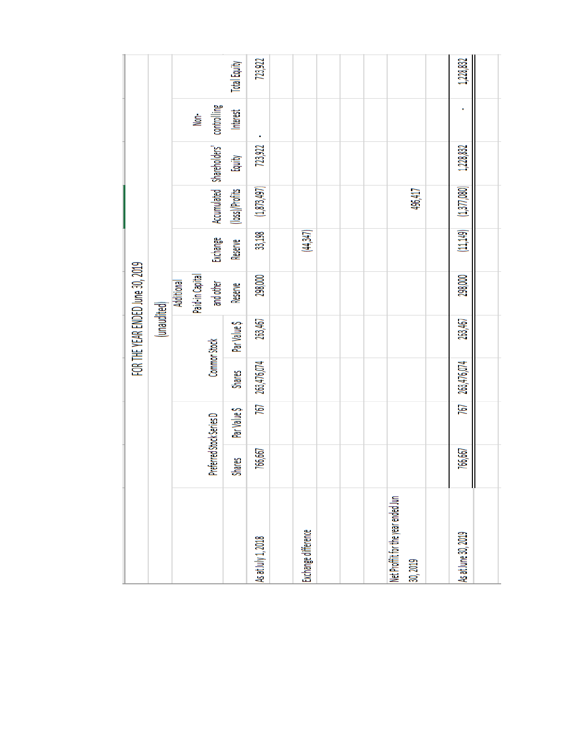|                                               |               |                          |               | FOR THE YEAR ENDED June 30, 2019 |                              |          |                |                           |                           |                     |
|-----------------------------------------------|---------------|--------------------------|---------------|----------------------------------|------------------------------|----------|----------------|---------------------------|---------------------------|---------------------|
|                                               |               |                          |               | (unaudited)                      |                              |          |                |                           |                           |                     |
|                                               |               |                          |               |                                  | <b>Additional</b>            |          |                |                           |                           |                     |
|                                               |               | Preferred Stock Series D | Common Stock  |                                  | Paid-in Capital<br>and other | Exchange |                | Accumulated Shareholders' | controlling<br><u>İsp</u> |                     |
|                                               | <b>Shares</b> | Par Value \$             | <b>Shares</b> | Par Value \$                     | Reserve                      | Reserve  | (loss)/Profits | Equity                    | Interest                  | <b>Total Equity</b> |
| is at July 1, 2018                            | 766,667       | 767                      | 263,476,074   | 263,467                          | 298,000                      | 33,198   | (1,873,497)    | 723,922                   |                           | 723,922             |
|                                               |               |                          |               |                                  |                              |          |                |                           |                           |                     |
| xchange difference                            |               |                          |               |                                  |                              | (44,347) |                |                           |                           |                     |
|                                               |               |                          |               |                                  |                              |          |                |                           |                           |                     |
|                                               |               |                          |               |                                  |                              |          |                |                           |                           |                     |
|                                               |               |                          |               |                                  |                              |          |                |                           |                           |                     |
| let Proffit for the year ended Jun<br>10,2019 |               |                          |               |                                  |                              |          | 496,417        |                           |                           |                     |
|                                               |               |                          |               |                                  |                              |          |                |                           |                           |                     |
| is at June 30, 2019                           | 766,667       | 767                      | 263,476,074   | 263,467                          | 298,000                      | (11,149) | (1, 377, 080)  | 1,228,832                 |                           | 1,228,832           |
|                                               |               |                          |               |                                  |                              |          |                |                           |                           |                     |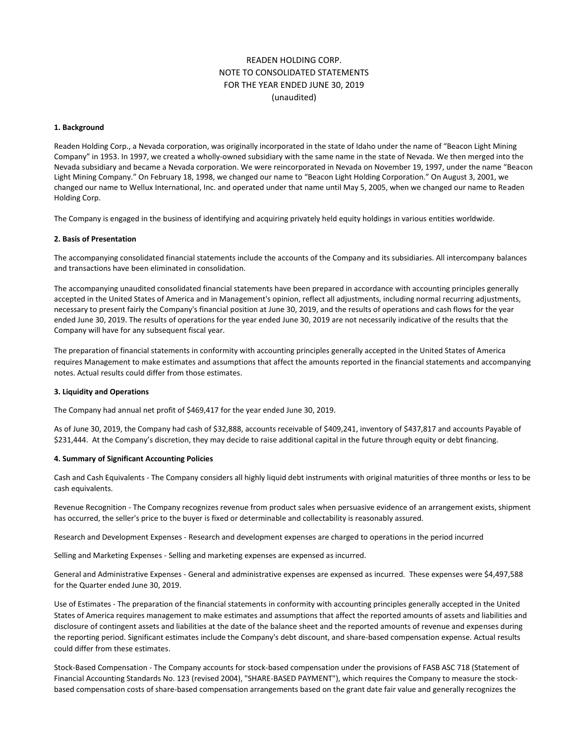# READEN HOLDING CORP. NOTE TO CONSOLIDATED STATEMENTS FOR THE YEAR ENDED JUNE 30, 2019 (unaudited)

#### **1. Background**

Readen Holding Corp., a Nevada corporation, was originally incorporated in the state of Idaho under the name of "Beacon Light Mining Company" in 1953. In 1997, we created a wholly-owned subsidiary with the same name in the state of Nevada. We then merged into the Nevada subsidiary and became a Nevada corporation. We were reincorporated in Nevada on November 19, 1997, under the name "Beacon Light Mining Company." On February 18, 1998, we changed our name to "Beacon Light Holding Corporation." On August 3, 2001, we changed our name to Wellux International, Inc. and operated under that name until May 5, 2005, when we changed our name to Readen Holding Corp.

The Company is engaged in the business of identifying and acquiring privately held equity holdings in various entities worldwide.

## **2. Basis of Presentation**

The accompanying consolidated financial statements include the accounts of the Company and its subsidiaries. All intercompany balances and transactions have been eliminated in consolidation.

The accompanying unaudited consolidated financial statements have been prepared in accordance with accounting principles generally accepted in the United States of America and in Management's opinion, reflect all adjustments, including normal recurring adjustments, necessary to present fairly the Company's financial position at June 30, 2019, and the results of operations and cash flows for the year ended June 30, 2019. The results of operations for the year ended June 30, 2019 are not necessarily indicative of the results that the Company will have for any subsequent fiscal year.

The preparation of financial statements in conformity with accounting principles generally accepted in the United States of America requires Management to make estimates and assumptions that affect the amounts reported in the financial statements and accompanying notes. Actual results could differ from those estimates.

### **3. Liquidity and Operations**

The Company had annual net profit of \$469,417 for the year ended June 30, 2019.

As of June 30, 2019, the Company had cash of \$32,888, accounts receivable of \$409,241, inventory of \$437,817 and accounts Payable of \$231,444. At the Company's discretion, they may decide to raise additional capital in the future through equity or debt financing.

#### **4. Summary of Significant Accounting Policies**

Cash and Cash Equivalents - The Company considers all highly liquid debt instruments with original maturities of three months or less to be cash equivalents.

Revenue Recognition - The Company recognizes revenue from product sales when persuasive evidence of an arrangement exists, shipment has occurred, the seller's price to the buyer is fixed or determinable and collectability is reasonably assured.

Research and Development Expenses - Research and development expenses are charged to operations in the period incurred

Selling and Marketing Expenses - Selling and marketing expenses are expensed as incurred.

General and Administrative Expenses - General and administrative expenses are expensed as incurred. These expenses were \$4,497,588 for the Quarter ended June 30, 2019.

Use of Estimates - The preparation of the financial statements in conformity with accounting principles generally accepted in the United States of America requires management to make estimates and assumptions that affect the reported amounts of assets and liabilities and disclosure of contingent assets and liabilities at the date of the balance sheet and the reported amounts of revenue and expenses during the reporting period. Significant estimates include the Company's debt discount, and share-based compensation expense. Actual results could differ from these estimates.

Stock-Based Compensation - The Company accounts for stock-based compensation under the provisions of FASB ASC 718 (Statement of Financial Accounting Standards No. 123 (revised 2004), "SHARE-BASED PAYMENT"), which requires the Company to measure the stockbased compensation costs of share-based compensation arrangements based on the grant date fair value and generally recognizes the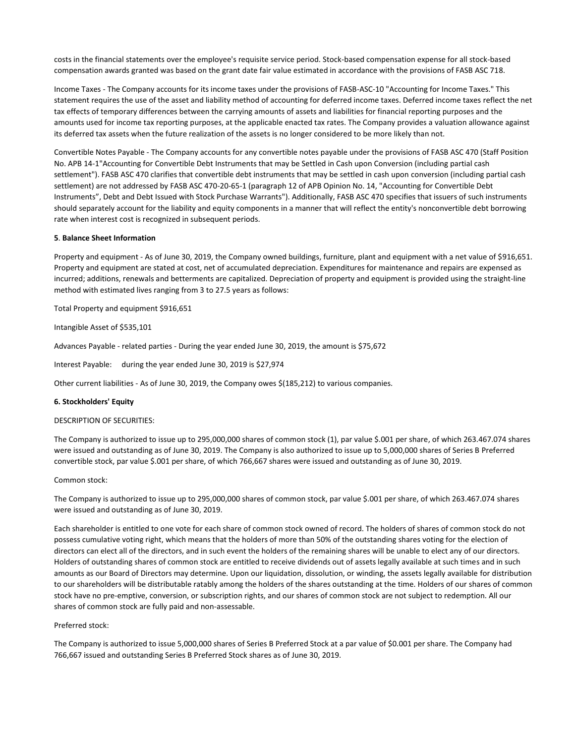costs in the financial statements over the employee's requisite service period. Stock-based compensation expense for all stock-based compensation awards granted was based on the grant date fair value estimated in accordance with the provisions of FASB ASC 718.

Income Taxes - The Company accounts for its income taxes under the provisions of FASB-ASC-10 "Accounting for Income Taxes." This statement requires the use of the asset and liability method of accounting for deferred income taxes. Deferred income taxes reflect the net tax effects of temporary differences between the carrying amounts of assets and liabilities for financial reporting purposes and the amounts used for income tax reporting purposes, at the applicable enacted tax rates. The Company provides a valuation allowance against its deferred tax assets when the future realization of the assets is no longer considered to be more likely than not.

Convertible Notes Payable - The Company accounts for any convertible notes payable under the provisions of FASB ASC 470 (Staff Position No. APB 14-1"Accounting for Convertible Debt Instruments that may be Settled in Cash upon Conversion (including partial cash settlement"). FASB ASC 470 clarifies that convertible debt instruments that may be settled in cash upon conversion (including partial cash settlement) are not addressed by FASB ASC 470-20-65-1 (paragraph 12 of APB Opinion No. 14, "Accounting for Convertible Debt Instruments", Debt and Debt Issued with Stock Purchase Warrants"). Additionally, FASB ASC 470 specifies that issuers of such instruments should separately account for the liability and equity components in a manner that will reflect the entity's nonconvertible debt borrowing rate when interest cost is recognized in subsequent periods.

#### **5**. **Balance Sheet Information**

Property and equipment - As of June 30, 2019, the Company owned buildings, furniture, plant and equipment with a net value of \$916,651. Property and equipment are stated at cost, net of accumulated depreciation. Expenditures for maintenance and repairs are expensed as incurred; additions, renewals and betterments are capitalized. Depreciation of property and equipment is provided using the straight-line method with estimated lives ranging from 3 to 27.5 years as follows:

Total Property and equipment \$916,651

Intangible Asset of \$535,101

Advances Payable - related parties - During the year ended June 30, 2019, the amount is \$75,672

Interest Payable: during the year ended June 30, 2019 is \$27,974

Other current liabilities - As of June 30, 2019, the Company owes \$(185,212) to various companies.

# **6. Stockholders' Equity**

#### DESCRIPTION OF SECURITIES:

The Company is authorized to issue up to 295,000,000 shares of common stock (1), par value \$.001 per share, of which 263.467.074 shares were issued and outstanding as of June 30, 2019. The Company is also authorized to issue up to 5,000,000 shares of Series B Preferred convertible stock, par value \$.001 per share, of which 766,667 shares were issued and outstanding as of June 30, 2019.

#### Common stock:

The Company is authorized to issue up to 295,000,000 shares of common stock, par value \$.001 per share, of which 263.467.074 shares were issued and outstanding as of June 30, 2019.

Each shareholder is entitled to one vote for each share of common stock owned of record. The holders of shares of common stock do not possess cumulative voting right, which means that the holders of more than 50% of the outstanding shares voting for the election of directors can elect all of the directors, and in such event the holders of the remaining shares will be unable to elect any of our directors. Holders of outstanding shares of common stock are entitled to receive dividends out of assets legally available at such times and in such amounts as our Board of Directors may determine. Upon our liquidation, dissolution, or winding, the assets legally available for distribution to our shareholders will be distributable ratably among the holders of the shares outstanding at the time. Holders of our shares of common stock have no pre-emptive, conversion, or subscription rights, and our shares of common stock are not subject to redemption. All our shares of common stock are fully paid and non-assessable.

### Preferred stock:

The Company is authorized to issue 5,000,000 shares of Series B Preferred Stock at a par value of \$0.001 per share. The Company had 766,667 issued and outstanding Series B Preferred Stock shares as of June 30, 2019.